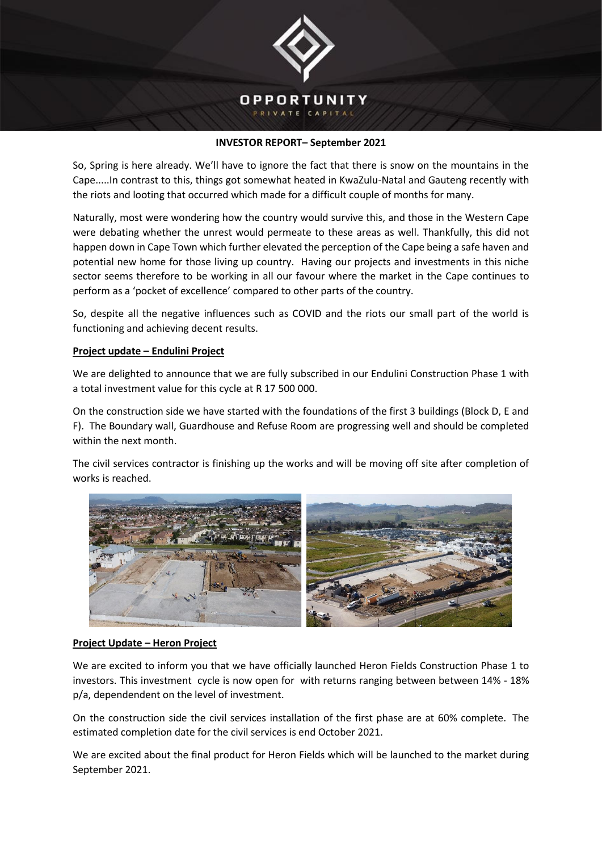

## **INVESTOR REPORT– September 2021**

So, Spring is here already. We'll have to ignore the fact that there is snow on the mountains in the Cape.....In contrast to this, things got somewhat heated in KwaZulu-Natal and Gauteng recently with the riots and looting that occurred which made for a difficult couple of months for many.

Naturally, most were wondering how the country would survive this, and those in the Western Cape were debating whether the unrest would permeate to these areas as well. Thankfully, this did not happen down in Cape Town which further elevated the perception of the Cape being a safe haven and potential new home for those living up country. Having our projects and investments in this niche sector seems therefore to be working in all our favour where the market in the Cape continues to perform as a 'pocket of excellence' compared to other parts of the country.

So, despite all the negative influences such as COVID and the riots our small part of the world is functioning and achieving decent results.

## **Project update – Endulini Project**

We are delighted to announce that we are fully subscribed in our Endulini Construction Phase 1 with a total investment value for this cycle at R 17 500 000.

On the construction side we have started with the foundations of the first 3 buildings (Block D, E and F). The Boundary wall, Guardhouse and Refuse Room are progressing well and should be completed within the next month.

The civil services contractor is finishing up the works and will be moving off site after completion of works is reached.



## **Project Update – Heron Project**

We are excited to inform you that we have officially launched Heron Fields Construction Phase 1 to investors. This investment cycle is now open for with returns ranging between between 14% - 18% p/a, dependendent on the level of investment.

On the construction side the civil services installation of the first phase are at 60% complete. The estimated completion date for the civil services is end October 2021.

We are excited about the final product for Heron Fields which will be launched to the market during September 2021.